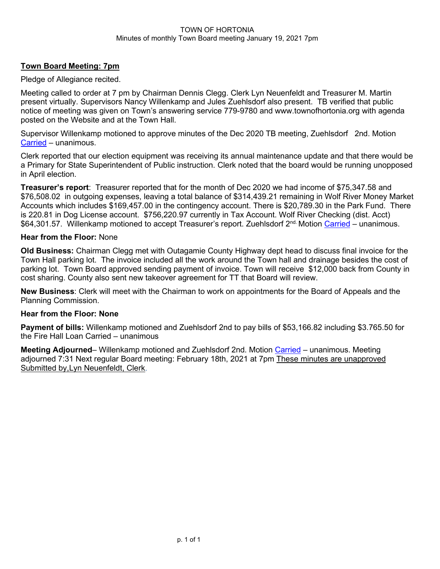### TOWN OF HORTONIA Minutes of monthly Town Board meeting January 19, 2021 7pm

### **Town Board Meeting: 7pm**

Pledge of Allegiance recited.

Meeting called to order at 7 pm by Chairman Dennis Clegg. Clerk Lyn Neuenfeldt and Treasurer M. Martin present virtually. Supervisors Nancy Willenkamp and Jules Zuehlsdorf also present. TB verified that public notice of meeting was given on Town's answering service 779-9780 and www.townofhortonia.org with agenda posted on the Website and at the Town Hall.

Supervisor Willenkamp motioned to approve minutes of the Dec 2020 TB meeting, Zuehlsdorf 2nd. Motion Carried – unanimous.

Clerk reported that our election equipment was receiving its annual maintenance update and that there would be a Primary for State Superintendent of Public instruction. Clerk noted that the board would be running unopposed in April election.

**Treasurer's report**: Treasurer reported that for the month of Dec 2020 we had income of \$75,347.58 and \$76,508.02 in outgoing expenses, leaving a total balance of \$314,439.21 remaining in Wolf River Money Market Accounts which includes \$169,457.00 in the contingency account. There is \$20,789.30 in the Park Fund. There is 220.81 in Dog License account. \$756,220.97 currently in Tax Account. Wolf River Checking (dist. Acct) \$64,301.57. Willenkamp motioned to accept Treasurer's report. Zuehlsdorf 2<sup>nd.</sup> Motion Carried – unanimous.

### **Hear from the Floor:** None

**Old Business:** Chairman Clegg met with Outagamie County Highway dept head to discuss final invoice for the Town Hall parking lot. The invoice included all the work around the Town hall and drainage besides the cost of parking lot. Town Board approved sending payment of invoice. Town will receive \$12,000 back from County in cost sharing. County also sent new takeover agreement for TT that Board will review.

**New Business**: Clerk will meet with the Chairman to work on appointments for the Board of Appeals and the Planning Commission.

### **Hear from the Floor: None**

**Payment of bills:** Willenkamp motioned and Zuehlsdorf 2nd to pay bills of \$53,166.82 including \$3.765.50 for the Fire Hall Loan Carried – unanimous

**Meeting Adjourned**– Willenkamp motioned and Zuehlsdorf 2nd. Motion Carried – unanimous. Meeting adjourned 7:31 Next regular Board meeting: February 18th, 2021 at 7pm These minutes are unapproved Submitted by,Lyn Neuenfeldt, Clerk.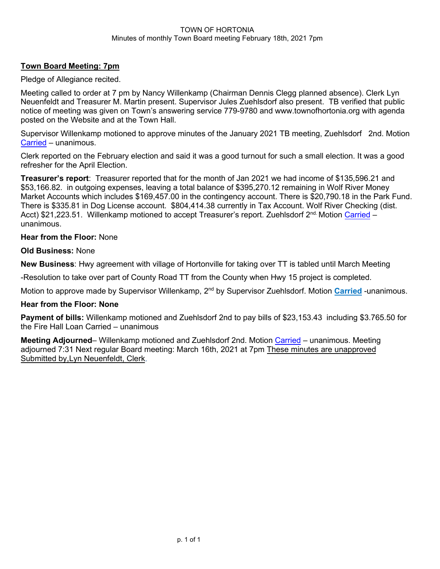### TOWN OF HORTONIA Minutes of monthly Town Board meeting February 18th, 2021 7pm

### **Town Board Meeting: 7pm**

Pledge of Allegiance recited.

Meeting called to order at 7 pm by Nancy Willenkamp (Chairman Dennis Clegg planned absence). Clerk Lyn Neuenfeldt and Treasurer M. Martin present. Supervisor Jules Zuehlsdorf also present. TB verified that public notice of meeting was given on Town's answering service 779-9780 and www.townofhortonia.org with agenda posted on the Website and at the Town Hall.

Supervisor Willenkamp motioned to approve minutes of the January 2021 TB meeting, Zuehlsdorf 2nd. Motion Carried – unanimous.

Clerk reported on the February election and said it was a good turnout for such a small election. It was a good refresher for the April Election.

**Treasurer's report**: Treasurer reported that for the month of Jan 2021 we had income of \$135,596.21 and \$53,166.82. in outgoing expenses, leaving a total balance of \$395,270.12 remaining in Wolf River Money Market Accounts which includes \$169,457.00 in the contingency account. There is \$20,790.18 in the Park Fund. There is \$335.81 in Dog License account. \$804,414.38 currently in Tax Account. Wolf River Checking (dist. Acct) \$21,223.51. Willenkamp motioned to accept Treasurer's report. Zuehlsdorf 2<sup>nd.</sup> Motion <mark>Carried</mark> – unanimous.

### **Hear from the Floor:** None

### **Old Business:** None

**New Business**: Hwy agreement with village of Hortonville for taking over TT is tabled until March Meeting

-Resolution to take over part of County Road TT from the County when Hwy 15 project is completed.

Motion to approve made by Supervisor Willenkamp, 2<sup>nd</sup> by Supervisor Zuehlsdorf. Motion <mark>Carried</mark> -unanimous.

### **Hear from the Floor: None**

**Payment of bills:** Willenkamp motioned and Zuehlsdorf 2nd to pay bills of \$23,153.43 including \$3.765.50 for the Fire Hall Loan Carried – unanimous

**Meeting Adjourned**– Willenkamp motioned and Zuehlsdorf 2nd. Motion Carried – unanimous. Meeting adjourned 7:31 Next regular Board meeting: March 16th, 2021 at 7pm These minutes are unapproved Submitted by,Lyn Neuenfeldt, Clerk.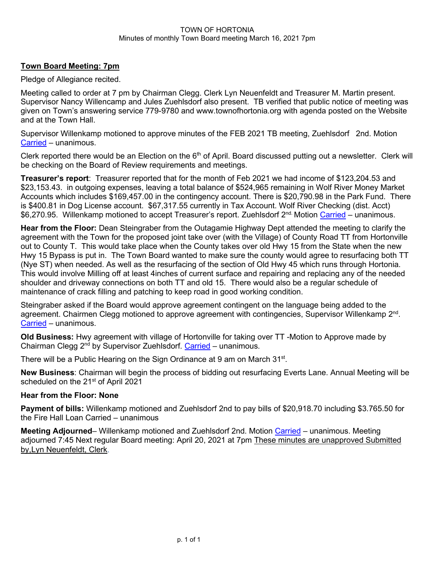#### TOWN OF HORTONIA Minutes of monthly Town Board meeting March 16, 2021 7pm

### **Town Board Meeting: 7pm**

Pledge of Allegiance recited.

Meeting called to order at 7 pm by Chairman Clegg. Clerk Lyn Neuenfeldt and Treasurer M. Martin present. Supervisor Nancy Willencamp and Jules Zuehlsdorf also present. TB verified that public notice of meeting was given on Town's answering service 779-9780 and www.townofhortonia.org with agenda posted on the Website and at the Town Hall.

Supervisor Willenkamp motioned to approve minutes of the FEB 2021 TB meeting, Zuehlsdorf 2nd. Motion Carried – unanimous.

Clerk reported there would be an Election on the  $6<sup>th</sup>$  of April. Board discussed putting out a newsletter. Clerk will be checking on the Board of Review requirements and meetings.

**Treasurer's report**: Treasurer reported that for the month of Feb 2021 we had income of \$123,204.53 and \$23,153.43. in outgoing expenses, leaving a total balance of \$524,965 remaining in Wolf River Money Market Accounts which includes \$169,457.00 in the contingency account. There is \$20,790.98 in the Park Fund. There is \$400.81 in Dog License account. \$67,317.55 currently in Tax Account. Wolf River Checking (dist. Acct) \$6,270.95. Willenkamp motioned to accept Treasurer's report. Zuehlsdorf 2<sup>nd.</sup> Motion Carried – unanimous.

**Hear from the Floor:** Dean Steingraber from the Outagamie Highway Dept attended the meeting to clarify the agreement with the Town for the proposed joint take over (with the Village) of County Road TT from Hortonville out to County T. This would take place when the County takes over old Hwy 15 from the State when the new Hwy 15 Bypass is put in. The Town Board wanted to make sure the county would agree to resurfacing both TT (Nye ST) when needed. As well as the resurfacing of the section of Old Hwy 45 which runs through Hortonia. This would involve Milling off at least 4inches of current surface and repairing and replacing any of the needed shoulder and driveway connections on both TT and old 15. There would also be a regular schedule of maintenance of crack filling and patching to keep road in good working condition.

Steingraber asked if the Board would approve agreement contingent on the language being added to the agreement. Chairmen Clegg motioned to approve agreement with contingencies, Supervisor Willenkamp  $2<sup>nd</sup>$ . Carried – unanimous.

**Old Business:** Hwy agreement with village of Hortonville for taking over TT -Motion to Approve made by Chairman Clegg 2nd by Supervisor Zuehlsdorf. Carried – unanimous.

There will be a Public Hearing on the Sign Ordinance at 9 am on March 31<sup>st</sup>.

**New Business**: Chairman will begin the process of bidding out resurfacing Everts Lane. Annual Meeting will be scheduled on the 21<sup>st</sup> of April 2021

### **Hear from the Floor: None**

**Payment of bills:** Willenkamp motioned and Zuehlsdorf 2nd to pay bills of \$20,918.70 including \$3.765.50 for the Fire Hall Loan Carried – unanimous

**Meeting Adjourned**– Willenkamp motioned and Zuehlsdorf 2nd. Motion Carried – unanimous. Meeting adjourned 7:45 Next regular Board meeting: April 20, 2021 at 7pm These minutes are unapproved Submitted by,Lyn Neuenfeldt, Clerk.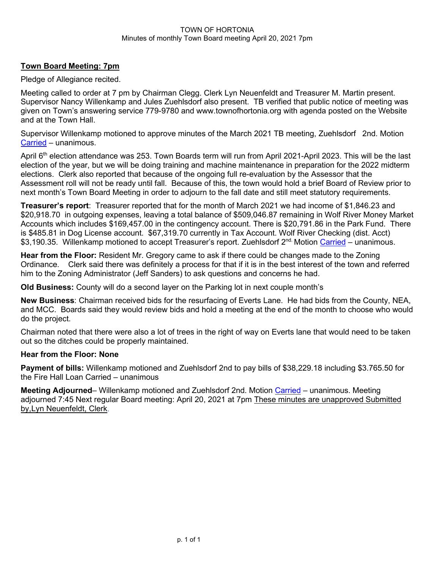#### TOWN OF HORTONIA Minutes of monthly Town Board meeting April 20, 2021 7pm

### **Town Board Meeting: 7pm**

Pledge of Allegiance recited.

Meeting called to order at 7 pm by Chairman Clegg. Clerk Lyn Neuenfeldt and Treasurer M. Martin present. Supervisor Nancy Willenkamp and Jules Zuehlsdorf also present. TB verified that public notice of meeting was given on Town's answering service 779-9780 and www.townofhortonia.org with agenda posted on the Website and at the Town Hall.

Supervisor Willenkamp motioned to approve minutes of the March 2021 TB meeting, Zuehlsdorf 2nd. Motion Carried – unanimous.

April 6<sup>th</sup> election attendance was 253. Town Boards term will run from April 2021-April 2023. This will be the last election of the year, but we will be doing training and machine maintenance in preparation for the 2022 midterm elections. Clerk also reported that because of the ongoing full re-evaluation by the Assessor that the Assessment roll will not be ready until fall. Because of this, the town would hold a brief Board of Review prior to next month's Town Board Meeting in order to adjourn to the fall date and still meet statutory requirements.

**Treasurer's report**: Treasurer reported that for the month of March 2021 we had income of \$1,846.23 and \$20,918.70 in outgoing expenses, leaving a total balance of \$509,046.87 remaining in Wolf River Money Market Accounts which includes \$169,457.00 in the contingency account. There is \$20,791.86 in the Park Fund. There is \$485.81 in Dog License account. \$67,319.70 currently in Tax Account. Wolf River Checking (dist. Acct) \$3,190.35. Willenkamp motioned to accept Treasurer's report. Zuehlsdorf 2<sup>nd.</sup> Motion Carried – unanimous.

**Hear from the Floor:** Resident Mr. Gregory came to ask if there could be changes made to the Zoning Ordinance. Clerk said there was definitely a process for that if it is in the best interest of the town and referred him to the Zoning Administrator (Jeff Sanders) to ask questions and concerns he had.

**Old Business:** County will do a second layer on the Parking lot in next couple month's

**New Business**: Chairman received bids for the resurfacing of Everts Lane. He had bids from the County, NEA, and MCC. Boards said they would review bids and hold a meeting at the end of the month to choose who would do the project.

Chairman noted that there were also a lot of trees in the right of way on Everts lane that would need to be taken out so the ditches could be properly maintained.

### **Hear from the Floor: None**

**Payment of bills:** Willenkamp motioned and Zuehlsdorf 2nd to pay bills of \$38,229.18 including \$3.765.50 for the Fire Hall Loan Carried – unanimous

**Meeting Adjourned**– Willenkamp motioned and Zuehlsdorf 2nd. Motion Carried – unanimous. Meeting adjourned 7:45 Next regular Board meeting: April 20, 2021 at 7pm These minutes are unapproved Submitted by,Lyn Neuenfeldt, Clerk.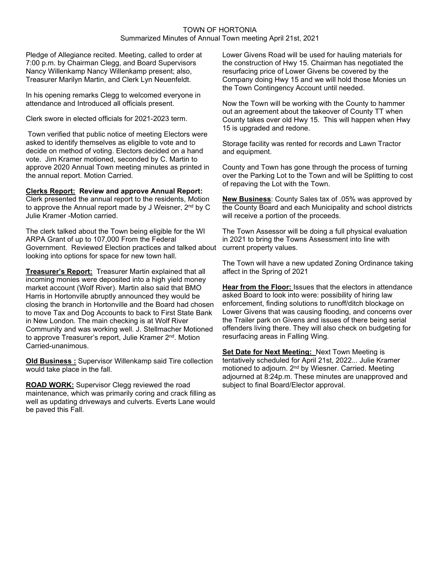#### TOWN OF HORTONIA Summarized Minutes of Annual Town meeting April 21st, 2021

Pledge of Allegiance recited. Meeting, called to order at 7:00 p.m. by Chairman Clegg, and Board Supervisors Nancy Willenkamp Nancy Willenkamp present; also, Treasurer Marilyn Martin, and Clerk Lyn Neuenfeldt.

In his opening remarks Clegg to welcomed everyone in attendance and Introduced all officials present.

Clerk swore in elected officials for 2021-2023 term.

Town verified that public notice of meeting Electors were asked to identify themselves as eligible to vote and to decide on method of voting. Electors decided on a hand vote. Jim Kramer motioned, seconded by C. Martin to approve 2020 Annual Town meeting minutes as printed in the annual report. Motion Carried.

**Clerks Report: Review and approve Annual Report:** Clerk presented the annual report to the residents, Motion

to approve the Annual report made by J Weisner, 2<sup>nd</sup> by C Julie Kramer -Motion carried.

The clerk talked about the Town being eligible for the WI ARPA Grant of up to 107,000 From the Federal Government. Reviewed Election practices and talked about looking into options for space for new town hall.

**Treasurer's Report:** Treasurer Martin explained that all incoming monies were deposited into a high yield money market account (Wolf River). Martin also said that BMO Harris in Hortonville abruptly announced they would be closing the branch in Hortonville and the Board had chosen to move Tax and Dog Accounts to back to First State Bank in New London. The main checking is at Wolf River Community and was working well. J. Stellmacher Motioned to approve Treasurer's report, Julie Kramer 2<sup>nd</sup>. Motion Carried-unanimous.

**Old Business :** Supervisor Willenkamp said Tire collection would take place in the fall.

**ROAD WORK:** Supervisor Clegg reviewed the road maintenance, which was primarily coring and crack filling as well as updating driveways and culverts. Everts Lane would be paved this Fall.

Lower Givens Road will be used for hauling materials for the construction of Hwy 15. Chairman has negotiated the resurfacing price of Lower Givens be covered by the Company doing Hwy 15 and we will hold those Monies un the Town Contingency Account until needed.

Now the Town will be working with the County to hammer out an agreement about the takeover of County TT when County takes over old Hwy 15. This will happen when Hwy 15 is upgraded and redone.

Storage facility was rented for records and Lawn Tractor and equipment.

County and Town has gone through the process of turning over the Parking Lot to the Town and will be Splitting to cost of repaving the Lot with the Town.

**New Business**: County Sales tax of .05% was approved by the County Board and each Municipality and school districts will receive a portion of the proceeds.

The Town Assessor will be doing a full physical evaluation in 2021 to bring the Towns Assessment into line with current property values.

The Town will have a new updated Zoning Ordinance taking affect in the Spring of 2021

**Hear from the Floor:** Issues that the electors in attendance asked Board to look into were: possibility of hiring law enforcement, finding solutions to runoff/ditch blockage on Lower Givens that was causing flooding, and concerns over the Trailer park on Givens and issues of there being serial offenders living there. They will also check on budgeting for resurfacing areas in Falling Wing.

**Set Date for Next Meeting:** Next Town Meeting is tentatively scheduled for April 21st, 2022... Julie Kramer motioned to adjourn. 2<sup>nd</sup> by Wiesner. Carried. Meeting adjourned at 8:24p.m. These minutes are unapproved and subject to final Board/Elector approval.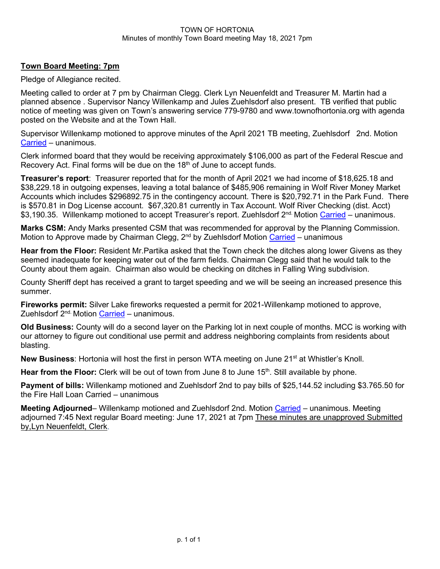#### TOWN OF HORTONIA Minutes of monthly Town Board meeting May 18, 2021 7pm

### **Town Board Meeting: 7pm**

Pledge of Allegiance recited.

Meeting called to order at 7 pm by Chairman Clegg. Clerk Lyn Neuenfeldt and Treasurer M. Martin had a planned absence . Supervisor Nancy Willenkamp and Jules Zuehlsdorf also present. TB verified that public notice of meeting was given on Town's answering service 779-9780 and www.townofhortonia.org with agenda posted on the Website and at the Town Hall.

Supervisor Willenkamp motioned to approve minutes of the April 2021 TB meeting, Zuehlsdorf 2nd. Motion Carried – unanimous.

Clerk informed board that they would be receiving approximately \$106,000 as part of the Federal Rescue and Recovery Act. Final forms will be due on the 18<sup>th</sup> of June to accept funds.

**Treasurer's report**: Treasurer reported that for the month of April 2021 we had income of \$18,625.18 and \$38,229.18 in outgoing expenses, leaving a total balance of \$485,906 remaining in Wolf River Money Market Accounts which includes \$296892.75 in the contingency account. There is \$20,792.71 in the Park Fund. There is \$570.81 in Dog License account. \$67,320.81 currently in Tax Account. Wolf River Checking (dist. Acct) \$3,190.35. Willenkamp motioned to accept Treasurer's report. Zuehlsdorf 2<sup>nd.</sup> Motion Carried – unanimous.

**Marks CSM:** Andy Marks presented CSM that was recommended for approval by the Planning Commission. Motion to Approve made by Chairman Clegg, 2<sup>nd</sup> by Zuehlsdorf Motion Carried – unanimous

**Hear from the Floor:** Resident Mr.Partika asked that the Town check the ditches along lower Givens as they seemed inadequate for keeping water out of the farm fields. Chairman Clegg said that he would talk to the County about them again. Chairman also would be checking on ditches in Falling Wing subdivision.

County Sheriff dept has received a grant to target speeding and we will be seeing an increased presence this summer.

**Fireworks permit:** Silver Lake fireworks requested a permit for 2021-Willenkamp motioned to approve, Zuehlsdorf 2<sup>nd.</sup> Motion Carried – unanimous.

**Old Business:** County will do a second layer on the Parking lot in next couple of months. MCC is working with our attorney to figure out conditional use permit and address neighboring complaints from residents about blasting.

**New Business:** Hortonia will host the first in person WTA meeting on June 21<sup>st</sup> at Whistler's Knoll.

**Hear from the Floor:** Clerk will be out of town from June 8 to June 15<sup>th</sup>. Still available by phone.

**Payment of bills:** Willenkamp motioned and Zuehlsdorf 2nd to pay bills of \$25,144.52 including \$3.765.50 for the Fire Hall Loan Carried – unanimous

**Meeting Adjourned**– Willenkamp motioned and Zuehlsdorf 2nd. Motion Carried – unanimous. Meeting adjourned 7:45 Next regular Board meeting: June 17, 2021 at 7pm These minutes are unapproved Submitted by,Lyn Neuenfeldt, Clerk.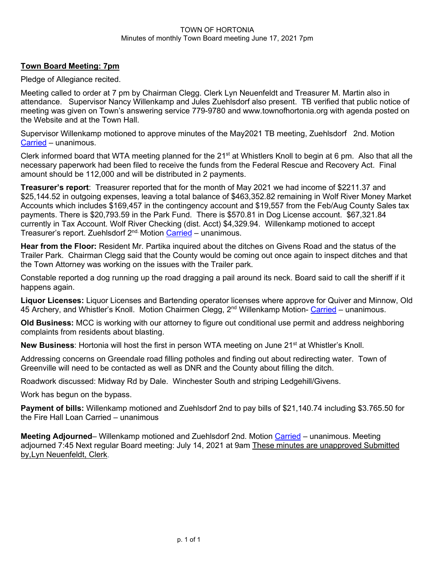### TOWN OF HORTONIA Minutes of monthly Town Board meeting June 17, 2021 7pm

### **Town Board Meeting: 7pm**

Pledge of Allegiance recited.

Meeting called to order at 7 pm by Chairman Clegg. Clerk Lyn Neuenfeldt and Treasurer M. Martin also in attendance. Supervisor Nancy Willenkamp and Jules Zuehlsdorf also present. TB verified that public notice of meeting was given on Town's answering service 779-9780 and www.townofhortonia.org with agenda posted on the Website and at the Town Hall.

Supervisor Willenkamp motioned to approve minutes of the May2021 TB meeting, Zuehlsdorf 2nd. Motion Carried – unanimous.

Clerk informed board that WTA meeting planned for the 21<sup>st</sup> at Whistlers Knoll to begin at 6 pm. Also that all the necessary paperwork had been filed to receive the funds from the Federal Rescue and Recovery Act. Final amount should be 112,000 and will be distributed in 2 payments.

**Treasurer's report**: Treasurer reported that for the month of May 2021 we had income of \$2211.37 and \$25,144.52 in outgoing expenses, leaving a total balance of \$463,352.82 remaining in Wolf River Money Market Accounts which includes \$169,457 in the contingency account and \$19,557 from the Feb/Aug County Sales tax payments. There is \$20,793.59 in the Park Fund. There is \$570.81 in Dog License account. \$67,321.84 currently in Tax Account. Wolf River Checking (dist. Acct) \$4,329.94. Willenkamp motioned to accept Treasurer's report. Zuehlsdorf 2<sup>nd.</sup> Motion Carried – unanimous.

**Hear from the Floor:** Resident Mr. Partika inquired about the ditches on Givens Road and the status of the Trailer Park. Chairman Clegg said that the County would be coming out once again to inspect ditches and that the Town Attorney was working on the issues with the Trailer park.

Constable reported a dog running up the road dragging a pail around its neck. Board said to call the sheriff if it happens again.

**Liquor Licenses:** Liquor Licenses and Bartending operator licenses where approve for Quiver and Minnow, Old 45 Archery, and Whistler's Knoll. Motion Chairmen Clegg, 2<sup>nd</sup> Willenkamp Motion- Carried – unanimous.

**Old Business:** MCC is working with our attorney to figure out conditional use permit and address neighboring complaints from residents about blasting.

**New Business:** Hortonia will host the first in person WTA meeting on June 21<sup>st</sup> at Whistler's Knoll.

Addressing concerns on Greendale road filling potholes and finding out about redirecting water. Town of Greenville will need to be contacted as well as DNR and the County about filling the ditch.

Roadwork discussed: Midway Rd by Dale. Winchester South and striping Ledgehill/Givens.

Work has begun on the bypass.

**Payment of bills:** Willenkamp motioned and Zuehlsdorf 2nd to pay bills of \$21,140.74 including \$3.765.50 for the Fire Hall Loan Carried – unanimous

**Meeting Adjourned**– Willenkamp motioned and Zuehlsdorf 2nd. Motion Carried – unanimous. Meeting adjourned 7:45 Next regular Board meeting: July 14, 2021 at 9am These minutes are unapproved Submitted by,Lyn Neuenfeldt, Clerk.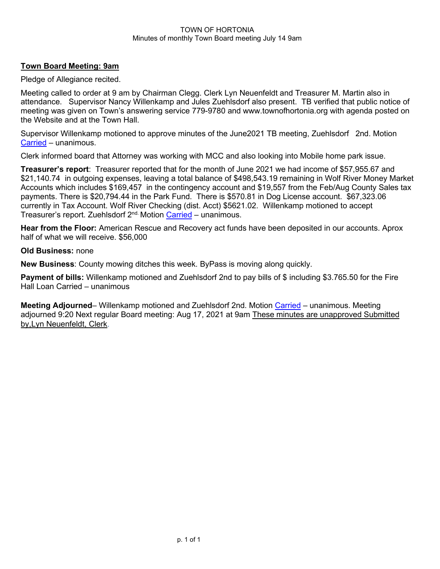#### TOWN OF HORTONIA Minutes of monthly Town Board meeting July 14 9am

### **Town Board Meeting: 9am**

Pledge of Allegiance recited.

Meeting called to order at 9 am by Chairman Clegg. Clerk Lyn Neuenfeldt and Treasurer M. Martin also in attendance. Supervisor Nancy Willenkamp and Jules Zuehlsdorf also present. TB verified that public notice of meeting was given on Town's answering service 779-9780 and www.townofhortonia.org with agenda posted on the Website and at the Town Hall.

Supervisor Willenkamp motioned to approve minutes of the June2021 TB meeting, Zuehlsdorf 2nd. Motion Carried – unanimous.

Clerk informed board that Attorney was working with MCC and also looking into Mobile home park issue.

**Treasurer's report**: Treasurer reported that for the month of June 2021 we had income of \$57,955.67 and \$21,140.74 in outgoing expenses, leaving a total balance of \$498,543.19 remaining in Wolf River Money Market Accounts which includes \$169,457 in the contingency account and \$19,557 from the Feb/Aug County Sales tax payments. There is \$20,794.44 in the Park Fund. There is \$570.81 in Dog License account. \$67,323.06 currently in Tax Account. Wolf River Checking (dist. Acct) \$5621.02. Willenkamp motioned to accept Treasurer's report. Zuehlsdorf 2<sup>nd.</sup> Motion Carried – unanimous.

**Hear from the Floor:** American Rescue and Recovery act funds have been deposited in our accounts. Aprox half of what we will receive. \$56,000

### **Old Business:** none

**New Business**: County mowing ditches this week. ByPass is moving along quickly.

**Payment of bills:** Willenkamp motioned and Zuehlsdorf 2nd to pay bills of \$ including \$3.765.50 for the Fire Hall Loan Carried – unanimous

**Meeting Adjourned**– Willenkamp motioned and Zuehlsdorf 2nd. Motion Carried – unanimous. Meeting adjourned 9:20 Next regular Board meeting: Aug 17, 2021 at 9am These minutes are unapproved Submitted by,Lyn Neuenfeldt, Clerk.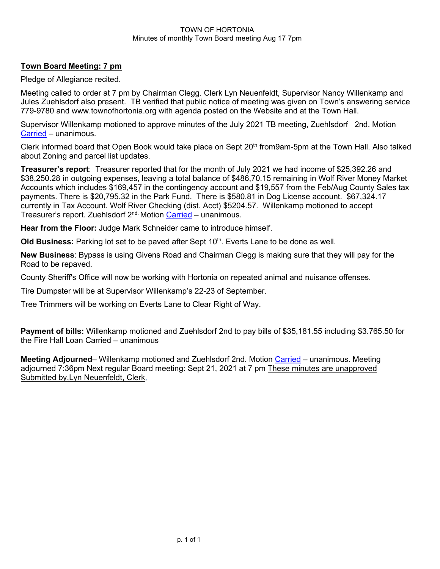### TOWN OF HORTONIA Minutes of monthly Town Board meeting Aug 17 7pm

### **Town Board Meeting: 7 pm**

Pledge of Allegiance recited.

Meeting called to order at 7 pm by Chairman Clegg. Clerk Lyn Neuenfeldt, Supervisor Nancy Willenkamp and Jules Zuehlsdorf also present. TB verified that public notice of meeting was given on Town's answering service 779-9780 and www.townofhortonia.org with agenda posted on the Website and at the Town Hall.

Supervisor Willenkamp motioned to approve minutes of the July 2021 TB meeting, Zuehlsdorf 2nd. Motion Carried – unanimous.

Clerk informed board that Open Book would take place on Sept 20<sup>th</sup> from9am-5pm at the Town Hall. Also talked about Zoning and parcel list updates.

**Treasurer's report**: Treasurer reported that for the month of July 2021 we had income of \$25,392.26 and \$38,250.28 in outgoing expenses, leaving a total balance of \$486,70.15 remaining in Wolf River Money Market Accounts which includes \$169,457 in the contingency account and \$19,557 from the Feb/Aug County Sales tax payments. There is \$20,795.32 in the Park Fund. There is \$580.81 in Dog License account. \$67,324.17 currently in Tax Account. Wolf River Checking (dist. Acct) \$5204.57. Willenkamp motioned to accept Treasurer's report. Zuehlsdorf 2<sup>nd.</sup> Motion Carried – unanimous.

**Hear from the Floor:** Judge Mark Schneider came to introduce himself.

Old Business: Parking lot set to be paved after Sept 10<sup>th</sup>. Everts Lane to be done as well.

**New Business**: Bypass is using Givens Road and Chairman Clegg is making sure that they will pay for the Road to be repaved.

County Sheriff's Office will now be working with Hortonia on repeated animal and nuisance offenses.

Tire Dumpster will be at Supervisor Willenkamp's 22-23 of September.

Tree Trimmers will be working on Everts Lane to Clear Right of Way.

**Payment of bills:** Willenkamp motioned and Zuehlsdorf 2nd to pay bills of \$35,181.55 including \$3.765.50 for the Fire Hall Loan Carried – unanimous

**Meeting Adjourned**– Willenkamp motioned and Zuehlsdorf 2nd. Motion Carried – unanimous. Meeting adjourned 7:36pm Next regular Board meeting: Sept 21, 2021 at 7 pm These minutes are unapproved Submitted by,Lyn Neuenfeldt, Clerk.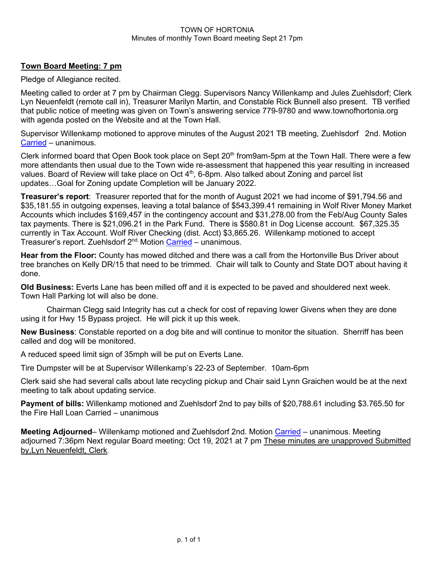#### TOWN OF HORTONIA Minutes of monthly Town Board meeting Sept 21 7pm

### **Town Board Meeting: 7 pm**

Pledge of Allegiance recited.

Meeting called to order at 7 pm by Chairman Clegg. Supervisors Nancy Willenkamp and Jules Zuehlsdorf; Clerk Lyn Neuenfeldt (remote call in), Treasurer Marilyn Martin, and Constable Rick Bunnell also present. TB verified that public notice of meeting was given on Town's answering service 779-9780 and www.townofhortonia.org with agenda posted on the Website and at the Town Hall.

Supervisor Willenkamp motioned to approve minutes of the August 2021 TB meeting, Zuehlsdorf 2nd. Motion Carried – unanimous.

Clerk informed board that Open Book took place on Sept 20<sup>th</sup> from9am-5pm at the Town Hall. There were a few more attendants then usual due to the Town wide re-assessment that happened this year resulting in increased values. Board of Review will take place on Oct  $4<sup>th</sup>$ , 6-8pm. Also talked about Zoning and parcel list updates…Goal for Zoning update Completion will be January 2022.

**Treasurer's report**: Treasurer reported that for the month of August 2021 we had income of \$91,794.56 and \$35,181.55 in outgoing expenses, leaving a total balance of \$543,399.41 remaining in Wolf River Money Market Accounts which includes \$169,457 in the contingency account and \$31,278.00 from the Feb/Aug County Sales tax payments. There is \$21,096.21 in the Park Fund. There is \$580.81 in Dog License account. \$67,325.35 currently in Tax Account. Wolf River Checking (dist. Acct) \$3,865.26. Willenkamp motioned to accept Treasurer's report. Zuehlsdorf 2<sup>nd.</sup> Motion Carried – unanimous.

**Hear from the Floor:** County has mowed ditched and there was a call from the Hortonville Bus Driver about tree branches on Kelly DR/15 that need to be trimmed. Chair will talk to County and State DOT about having it done.

**Old Business:** Everts Lane has been milled off and it is expected to be paved and shouldered next week. Town Hall Parking lot will also be done.

Chairman Clegg said Integrity has cut a check for cost of repaving lower Givens when they are done using it for Hwy 15 Bypass project. He will pick it up this week.

**New Business**: Constable reported on a dog bite and will continue to monitor the situation. Sherriff has been called and dog will be monitored.

A reduced speed limit sign of 35mph will be put on Everts Lane.

Tire Dumpster will be at Supervisor Willenkamp's 22-23 of September. 10am-6pm

Clerk said she had several calls about late recycling pickup and Chair said Lynn Graichen would be at the next meeting to talk about updating service.

**Payment of bills:** Willenkamp motioned and Zuehlsdorf 2nd to pay bills of \$20,788.61 including \$3.765.50 for the Fire Hall Loan Carried – unanimous

**Meeting Adjourned**– Willenkamp motioned and Zuehlsdorf 2nd. Motion Carried – unanimous. Meeting adjourned 7:36pm Next regular Board meeting: Oct 19, 2021 at 7 pm These minutes are unapproved Submitted by,Lyn Neuenfeldt, Clerk.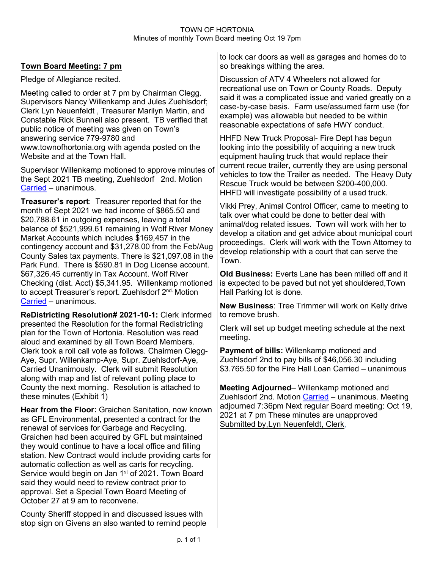### TOWN OF HORTONIA Minutes of monthly Town Board meeting Oct 19 7pm

## **Town Board Meeting: 7 pm**

Pledge of Allegiance recited.

Meeting called to order at 7 pm by Chairman Clegg. Supervisors Nancy Willenkamp and Jules Zuehlsdorf; Clerk Lyn Neuenfeldt , Treasurer Marilyn Martin, and Constable Rick Bunnell also present. TB verified that public notice of meeting was given on Town's answering service 779-9780 and www.townofhortonia.org with agenda posted on the Website and at the Town Hall.

Supervisor Willenkamp motioned to approve minutes of the Sept 2021 TB meeting, Zuehlsdorf 2nd. Motion Carried – unanimous.

**Treasurer's report**: Treasurer reported that for the month of Sept 2021 we had income of \$865.50 and \$20,788.61 in outgoing expenses, leaving a total balance of \$521,999.61 remaining in Wolf River Money Market Accounts which includes \$169,457 in the contingency account and \$31,278.00 from the Feb/Aug County Sales tax payments. There is \$21,097.08 in the Park Fund. There is \$590.81 in Dog License account. \$67,326.45 currently in Tax Account. Wolf River Checking (dist. Acct) \$5,341.95. Willenkamp motioned to accept Treasurer's report. Zuehlsdorf 2<sup>nd.</sup> Motion Carried – unanimous.

**ReDistricting Resolution# 2021-10-1:** Clerk informed presented the Resolution for the formal Redistricting plan for the Town of Hortonia. Resolution was read aloud and examined by all Town Board Members. Clerk took a roll call vote as follows. Chairmen Clegg-Aye, Supr. Willenkamp-Aye, Supr. Zuehlsdorf-Aye, Carried Unanimously. Clerk will submit Resolution along with map and list of relevant polling place to County the next morning. Resolution is attached to these minutes (Exhibit 1)

**Hear from the Floor:** Graichen Sanitation, now known as GFL Environmental, presented a contract for the renewal of services for Garbage and Recycling. Graichen had been acquired by GFL but maintained they would continue to have a local office and filling station. New Contract would include providing carts for automatic collection as well as carts for recycling. Service would begin on Jan 1<sup>st</sup> of 2021. Town Board said they would need to review contract prior to approval. Set a Special Town Board Meeting of October 27 at 9 am to reconvene.

County Sheriff stopped in and discussed issues with stop sign on Givens an also wanted to remind people to lock car doors as well as garages and homes do to so breakings withing the area.

Discussion of ATV 4 Wheelers not allowed for recreational use on Town or County Roads. Deputy said it was a complicated issue and varied greatly on a case-by-case basis. Farm use/assumed farm use (for example) was allowable but needed to be within reasonable expectations of safe HWY conduct.

HHFD New Truck Proposal- Fire Dept has begun looking into the possibility of acquiring a new truck equipment hauling truck that would replace their current recue trailer, currently they are using personal vehicles to tow the Trailer as needed. The Heavy Duty Rescue Truck would be between \$200-400,000. HHFD will investigate possibility of a used truck.

Vikki Prey, Animal Control Officer, came to meeting to talk over what could be done to better deal with animal/dog related issues. Town will work with her to develop a citation and get advice about municipal court proceedings. Clerk will work with the Town Attorney to develop relationship with a court that can serve the Town.

**Old Business:** Everts Lane has been milled off and it is expected to be paved but not yet shouldered,Town Hall Parking lot is done.

**New Business**: Tree Trimmer will work on Kelly drive to remove brush.

Clerk will set up budget meeting schedule at the next meeting.

**Payment of bills:** Willenkamp motioned and Zuehlsdorf 2nd to pay bills of \$46,056.30 including \$3.765.50 for the Fire Hall Loan Carried – unanimous

**Meeting Adjourned**– Willenkamp motioned and Zuehlsdorf 2nd. Motion Carried – unanimous. Meeting adjourned 7:36pm Next regular Board meeting: Oct 19, 2021 at 7 pm These minutes are unapproved Submitted by,Lyn Neuenfeldt, Clerk.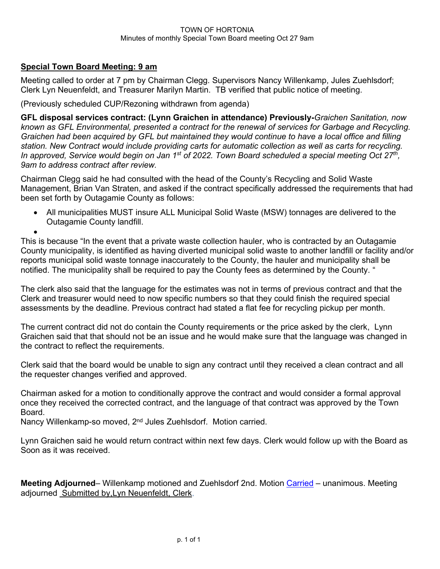## **Special Town Board Meeting: 9 am**

Meeting called to order at 7 pm by Chairman Clegg. Supervisors Nancy Willenkamp, Jules Zuehlsdorf; Clerk Lyn Neuenfeldt, and Treasurer Marilyn Martin. TB verified that public notice of meeting.

(Previously scheduled CUP/Rezoning withdrawn from agenda)

**GFL disposal services contract: (Lynn Graichen in attendance) Previously-***Graichen Sanitation, now known as GFL Environmental, presented a contract for the renewal of services for Garbage and Recycling. Graichen had been acquired by GFL but maintained they would continue to have a local office and filling station. New Contract would include providing carts for automatic collection as well as carts for recycling. In approved, Service would begin on Jan 1st of 2022. Town Board scheduled a special meeting Oct 27th, 9am to address contract after review.* 

Chairman Clegg said he had consulted with the head of the County's Recycling and Solid Waste Management, Brian Van Straten, and asked if the contract specifically addressed the requirements that had been set forth by Outagamie County as follows:

• All municipalities MUST insure ALL Municipal Solid Waste (MSW) tonnages are delivered to the Outagamie County landfill.

• This is because "In the event that a private waste collection hauler, who is contracted by an Outagamie County municipality, is identified as having diverted municipal solid waste to another landfill or facility and/or reports municipal solid waste tonnage inaccurately to the County, the hauler and municipality shall be notified. The municipality shall be required to pay the County fees as determined by the County. "

The clerk also said that the language for the estimates was not in terms of previous contract and that the Clerk and treasurer would need to now specific numbers so that they could finish the required special assessments by the deadline. Previous contract had stated a flat fee for recycling pickup per month.

The current contract did not do contain the County requirements or the price asked by the clerk, Lynn Graichen said that that should not be an issue and he would make sure that the language was changed in the contract to reflect the requirements.

Clerk said that the board would be unable to sign any contract until they received a clean contract and all the requester changes verified and approved.

Chairman asked for a motion to conditionally approve the contract and would consider a formal approval once they received the corrected contract, and the language of that contract was approved by the Town Board.

Nancy Willenkamp-so moved, 2<sup>nd</sup> Jules Zuehlsdorf. Motion carried.

Lynn Graichen said he would return contract within next few days. Clerk would follow up with the Board as Soon as it was received.

**Meeting Adjourned**– Willenkamp motioned and Zuehlsdorf 2nd. Motion Carried – unanimous. Meeting adjourned Submitted by,Lyn Neuenfeldt, Clerk.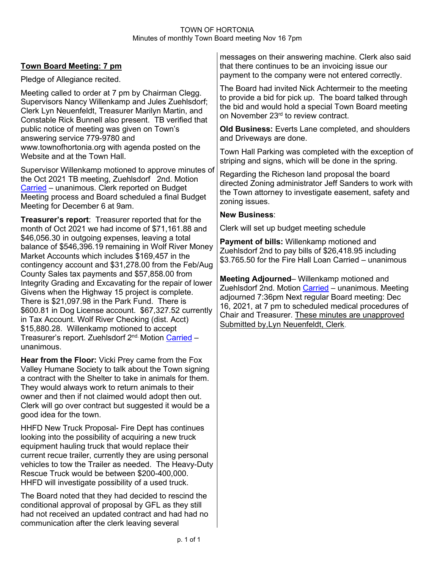### TOWN OF HORTONIA Minutes of monthly Town Board meeting Nov 16 7pm

## **Town Board Meeting: 7 pm**

Pledge of Allegiance recited.

Meeting called to order at 7 pm by Chairman Clegg. Supervisors Nancy Willenkamp and Jules Zuehlsdorf; Clerk Lyn Neuenfeldt, Treasurer Marilyn Martin, and Constable Rick Bunnell also present. TB verified that public notice of meeting was given on Town's answering service 779-9780 and www.townofhortonia.org with agenda posted on the Website and at the Town Hall.

Supervisor Willenkamp motioned to approve minutes of the Oct 2021 TB meeting, Zuehlsdorf 2nd. Motion Carried – unanimous. Clerk reported on Budget Meeting process and Board scheduled a final Budget Meeting for December 6 at 9am.

**Treasurer's report**: Treasurer reported that for the month of Oct 2021 we had income of \$71,161.88 and \$46,056.30 in outgoing expenses, leaving a total balance of \$546,396.19 remaining in Wolf River Money Market Accounts which includes \$169,457 in the contingency account and \$31,278.00 from the Feb/Aug County Sales tax payments and \$57,858.00 from Integrity Grading and Excavating for the repair of lower Givens when the Highway 15 project is complete. There is \$21,097.98 in the Park Fund. There is \$600.81 in Dog License account. \$67,327.52 currently in Tax Account. Wolf River Checking (dist. Acct) \$15,880.28. Willenkamp motioned to accept Treasurer's report. Zuehlsdorf 2<sup>nd.</sup> Motion Carried unanimous.

**Hear from the Floor:** Vicki Prey came from the Fox Valley Humane Society to talk about the Town signing a contract with the Shelter to take in animals for them. They would always work to return animals to their owner and then if not claimed would adopt then out. Clerk will go over contract but suggested it would be a good idea for the town.

HHFD New Truck Proposal- Fire Dept has continues looking into the possibility of acquiring a new truck equipment hauling truck that would replace their current recue trailer, currently they are using personal vehicles to tow the Trailer as needed. The Heavy-Duty Rescue Truck would be between \$200-400,000. HHFD will investigate possibility of a used truck.

The Board noted that they had decided to rescind the conditional approval of proposal by GFL as they still had not received an updated contract and had had no communication after the clerk leaving several

messages on their answering machine. Clerk also said that there continues to be an invoicing issue our payment to the company were not entered correctly.

The Board had invited Nick Achtermeir to the meeting to provide a bid for pick up. The board talked through the bid and would hold a special Town Board meeting on November 23<sup>rd</sup> to review contract.

**Old Business:** Everts Lane completed, and shoulders and Driveways are done.

Town Hall Parking was completed with the exception of striping and signs, which will be done in the spring.

Regarding the Richeson land proposal the board directed Zoning administrator Jeff Sanders to work with the Town attorney to investigate easement, safety and zoning issues.

### **New Business**:

Clerk will set up budget meeting schedule

**Payment of bills:** Willenkamp motioned and Zuehlsdorf 2nd to pay bills of \$26,418.95 including \$3.765.50 for the Fire Hall Loan Carried – unanimous

**Meeting Adjourned**– Willenkamp motioned and Zuehlsdorf 2nd. Motion Carried – unanimous. Meeting adjourned 7:36pm Next regular Board meeting: Dec 16, 2021, at 7 pm to scheduled medical procedures of Chair and Treasurer. These minutes are unapproved Submitted by,Lyn Neuenfeldt, Clerk.